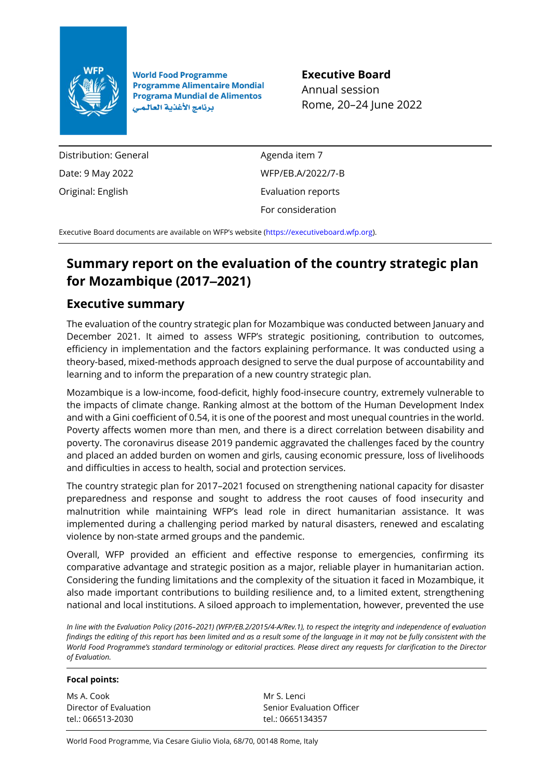

**World Food Programme Programme Alimentaire Mondial Programa Mundial de Alimentos** برنامج الأغذية العالمي

**Executive Board** Annual session Rome, 20–24 June 2022

Distribution: General Date: 9 May 2022 Original: English

Agenda item 7 WFP/EB.A/2022/7-B Evaluation reports For consideration

Executive Board documents are available on WFP's website [\(https://executiveboard.wfp.org\)](https://executiveboard.wfp.org/).

## **Summary report on the evaluation of the country strategic plan for Mozambique (2017‒2021)**

## **Executive summary**

The evaluation of the country strategic plan for Mozambique was conducted between January and December 2021. It aimed to assess WFP's strategic positioning, contribution to outcomes, efficiency in implementation and the factors explaining performance. It was conducted using a theory-based, mixed-methods approach designed to serve the dual purpose of accountability and learning and to inform the preparation of a new country strategic plan.

Mozambique is a low-income, food-deficit, highly food-insecure country, extremely vulnerable to the impacts of climate change. Ranking almost at the bottom of the Human Development Index and with a Gini coefficient of 0.54, it is one of the poorest and most unequal countries in the world. Poverty affects women more than men, and there is a direct correlation between disability and poverty. The coronavirus disease 2019 pandemic aggravated the challenges faced by the country and placed an added burden on women and girls, causing economic pressure, loss of livelihoods and difficulties in access to health, social and protection services.

The country strategic plan for 2017–2021 focused on strengthening national capacity for disaster preparedness and response and sought to address the root causes of food insecurity and malnutrition while maintaining WFP's lead role in direct humanitarian assistance. It was implemented during a challenging period marked by natural disasters, renewed and escalating violence by non-state armed groups and the pandemic.

Overall, WFP provided an efficient and effective response to emergencies, confirming its comparative advantage and strategic position as a major, reliable player in humanitarian action. Considering the funding limitations and the complexity of the situation it faced in Mozambique, it also made important contributions to building resilience and, to a limited extent, strengthening national and local institutions. A siloed approach to implementation, however, prevented the use

*In line with the Evaluation Policy (2016–2021) (WFP/EB.2/2015/4-A/Rev.1), to respect the integrity and independence of evaluation findings the editing of this report has been limited and as a result some of the language in it may not be fully consistent with the World Food Programme's standard terminology or editorial practices. Please direct any requests for clarification to the Director of Evaluation.*

#### **Focal points:**

Ms A. Cook Director of Evaluation tel.: 066513-2030

Mr S. Lenci Senior Evaluation Officer tel.: 0665134357

World Food Programme, Via Cesare Giulio Viola, 68/70, 00148 Rome, Italy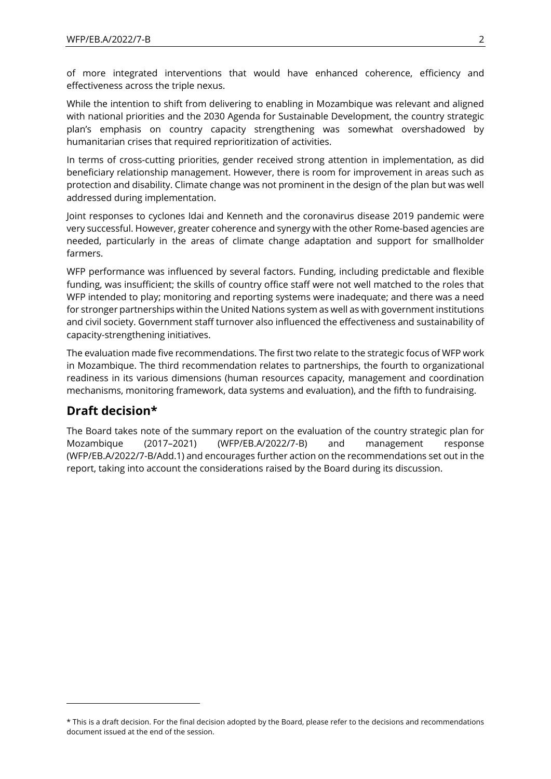of more integrated interventions that would have enhanced coherence, efficiency and effectiveness across the triple nexus.

While the intention to shift from delivering to enabling in Mozambique was relevant and aligned with national priorities and the 2030 Agenda for Sustainable Development, the country strategic plan's emphasis on country capacity strengthening was somewhat overshadowed by humanitarian crises that required reprioritization of activities.

In terms of cross-cutting priorities, gender received strong attention in implementation, as did beneficiary relationship management. However, there is room for improvement in areas such as protection and disability. Climate change was not prominent in the design of the plan but was well addressed during implementation.

Joint responses to cyclones Idai and Kenneth and the coronavirus disease 2019 pandemic were very successful. However, greater coherence and synergy with the other Rome-based agencies are needed, particularly in the areas of climate change adaptation and support for smallholder farmers.

WFP performance was influenced by several factors. Funding, including predictable and flexible funding, was insufficient; the skills of country office staff were not well matched to the roles that WFP intended to play; monitoring and reporting systems were inadequate; and there was a need for stronger partnerships within the United Nations system as well as with government institutions and civil society. Government staff turnover also influenced the effectiveness and sustainability of capacity-strengthening initiatives.

The evaluation made five recommendations. The first two relate to the strategic focus of WFP work in Mozambique. The third recommendation relates to partnerships, the fourth to organizational readiness in its various dimensions (human resources capacity, management and coordination mechanisms, monitoring framework, data systems and evaluation), and the fifth to fundraising.

## **Draft decision\***

The Board takes note of the summary report on the evaluation of the country strategic plan for Mozambique (2017–2021) (WFP/EB.A/2022/7-B) and management response (WFP/EB.A/2022/7-B/Add.1) and encourages further action on the recommendations set out in the report, taking into account the considerations raised by the Board during its discussion.

<sup>\*</sup> This is a draft decision. For the final decision adopted by the Board, please refer to the decisions and recommendations document issued at the end of the session.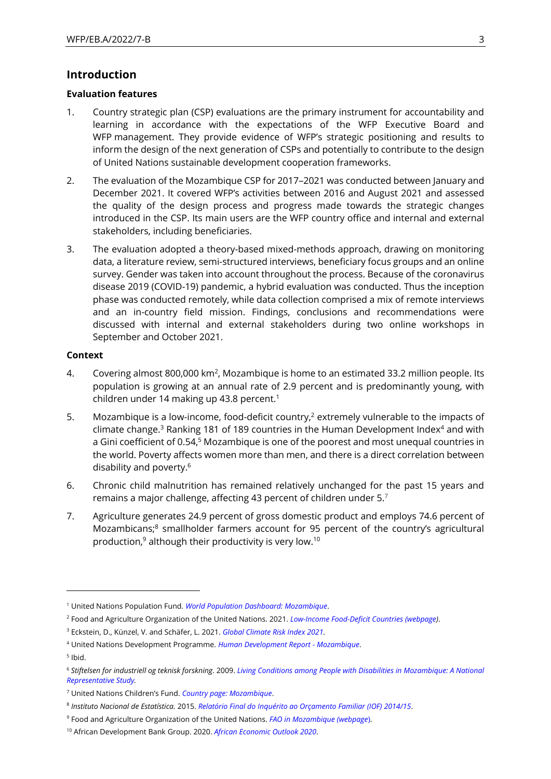#### **Introduction**

#### **Evaluation features**

- 1. Country strategic plan (CSP) evaluations are the primary instrument for accountability and learning in accordance with the expectations of the WFP Executive Board and WFP management. They provide evidence of WFP's strategic positioning and results to inform the design of the next generation of CSPs and potentially to contribute to the design of United Nations sustainable development cooperation frameworks.
- 2. The evaluation of the Mozambique CSP for 2017–2021 was conducted between January and December 2021. It covered WFP's activities between 2016 and August 2021 and assessed the quality of the design process and progress made towards the strategic changes introduced in the CSP. Its main users are the WFP country office and internal and external stakeholders, including beneficiaries.
- 3. The evaluation adopted a theory-based mixed-methods approach, drawing on monitoring data, a literature review, semi-structured interviews, beneficiary focus groups and an online survey. Gender was taken into account throughout the process. Because of the coronavirus disease 2019 (COVID-19) pandemic, a hybrid evaluation was conducted. Thus the inception phase was conducted remotely, while data collection comprised a mix of remote interviews and an in-country field mission. Findings, conclusions and recommendations were discussed with internal and external stakeholders during two online workshops in September and October 2021.

#### **Context**

- 4. Covering almost 800,000 km<sup>2</sup>, Mozambique is home to an estimated 33.2 million people. Its population is growing at an annual rate of 2.9 percent and is predominantly young, with children under 14 making up 43.8 percent.<sup>1</sup>
- 5. Mozambique is a low-income, food-deficit country,<sup>2</sup> extremely vulnerable to the impacts of climate change.<sup>3</sup> Ranking 181 of 189 countries in the Human Development Index<sup>4</sup> and with a Gini coefficient of 0.54,<sup>5</sup> Mozambique is one of the poorest and most unequal countries in the world. Poverty affects women more than men, and there is a direct correlation between disability and poverty.<sup>6</sup>
- 6. Chronic child malnutrition has remained relatively unchanged for the past 15 years and remains a major challenge, affecting 43 percent of children under 5.<sup>7</sup>
- 7. Agriculture generates 24.9 percent of gross domestic product and employs 74.6 percent of Mozambicans;<sup>8</sup> smallholder farmers account for 95 percent of the country's agricultural production,<sup>9</sup> although their productivity is very low.<sup>10</sup>

5 Ibid.

<sup>1</sup> United Nations Population Fund. *[World Population Dashboard: Mozambique](http://www.unfpa.org/data/world-population/MZ)*.

<sup>2</sup> Food and Agriculture Organization of the United Nations. 2021. *[Low-Income Food-Deficit Countries](https://www.fao.org/countryprofiles/lifdc/en/) (webpage)*.

<sup>3</sup> Eckstein, D., Künzel, V. and Schäfer, L. 2021. *[Global Climate Risk Index 2021.](https://www.germanwatch.org/en/19777)*

<sup>4</sup> United Nations Development Programme. *[Human Development Report -](http://hdr.undp.org/en/countries/profiles/MOZ) Mozambique*.

<sup>6</sup> *Stiftelsen for industriell og teknisk forskning*. 2009. *[Living Conditions among People](https://www.sintef.no/en/publications/publication/1269474/) with Disabilities in Mozambique: A National [Representative Study.](https://www.sintef.no/en/publications/publication/1269474/)* 

<sup>7</sup> United Nations Children's Fund. *[Country page: Mozambique](https://www.unicef.org/mozambique/en/nutrition)*.

<sup>8</sup> *Instituto Nacional de Estatística.* 2015. *[Relatório Final do Inquérito ao Orçamento Familiar \(IOF\) 2014/15](http://www.ine.gov.mz/operacoes-estatisticas/inqueritos/inquerito-sobre-orcamento-familiar/relatorio-final-do-inquerito-ao-orcamento-familiar-iof-2014-15)*.

<sup>9</sup> Food and Agriculture Organization of the United Nations. *[FAO in Mozambique \(webpage](https://www.fao.org/mozambique)*).

<sup>10</sup> African Development Bank Group. 2020. *[African Economic Outlook 2020](https://www.afdb.org/en/documents/african-economic-outlook-2020)*.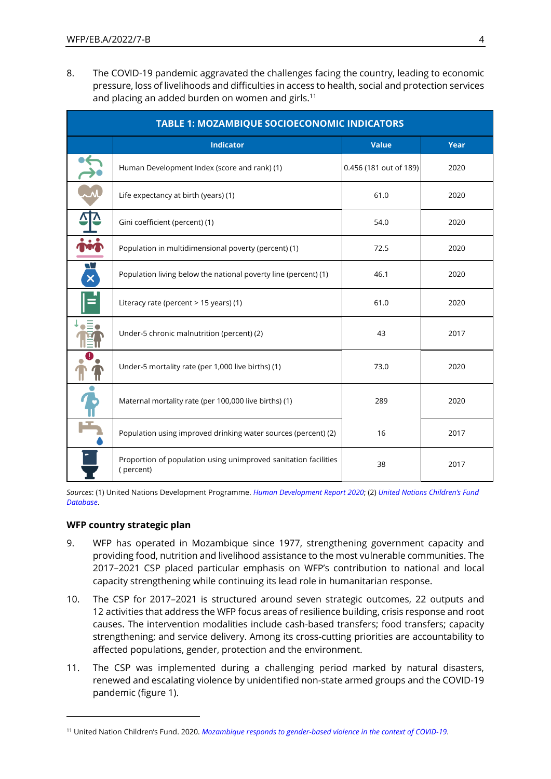8. The COVID-19 pandemic aggravated the challenges facing the country, leading to economic pressure, loss of livelihoods and difficulties in access to health, social and protection services and placing an added burden on women and girls.<sup>11</sup>

|                   | <b>TABLE 1: MOZAMBIQUE SOCIOECONOMIC INDICATORS</b>                          |                        |      |  |  |  |  |  |  |  |
|-------------------|------------------------------------------------------------------------------|------------------------|------|--|--|--|--|--|--|--|
|                   | <b>Indicator</b><br><b>Value</b>                                             |                        |      |  |  |  |  |  |  |  |
|                   | Human Development Index (score and rank) (1)                                 | 0.456 (181 out of 189) | 2020 |  |  |  |  |  |  |  |
|                   | Life expectancy at birth (years) (1)                                         | 61.0                   | 2020 |  |  |  |  |  |  |  |
|                   | Gini coefficient (percent) (1)                                               | 54.0                   | 2020 |  |  |  |  |  |  |  |
|                   | Population in multidimensional poverty (percent) (1)                         | 72.5                   | 2020 |  |  |  |  |  |  |  |
| W<br>$\mathbf{x}$ | Population living below the national poverty line (percent) (1)              | 46.1                   | 2020 |  |  |  |  |  |  |  |
| $=$               | Literacy rate (percent > 15 years) (1)                                       | 61.0                   | 2020 |  |  |  |  |  |  |  |
|                   | Under-5 chronic malnutrition (percent) (2)                                   | 43                     | 2017 |  |  |  |  |  |  |  |
|                   | Under-5 mortality rate (per 1,000 live births) (1)                           | 73.0                   | 2020 |  |  |  |  |  |  |  |
|                   | Maternal mortality rate (per 100,000 live births) (1)                        | 289                    | 2020 |  |  |  |  |  |  |  |
|                   | Population using improved drinking water sources (percent) (2)               | 16                     | 2017 |  |  |  |  |  |  |  |
|                   | Proportion of population using unimproved sanitation facilities<br>(percent) | 38                     | 2017 |  |  |  |  |  |  |  |

*Sources*: (1) United Nations Development Programme. *[Human Development Report](https://www.hdr.undp.org/en/2020-report) 2020*; (2) *[United Nations Children's Fund](https://data.unicef.org/dv_index/)  [Database](https://data.unicef.org/dv_index/)*.

#### **WFP country strategic plan**

- 9. WFP has operated in Mozambique since 1977, strengthening government capacity and providing food, nutrition and livelihood assistance to the most vulnerable communities. The 2017–2021 CSP placed particular emphasis on WFP's contribution to national and local capacity strengthening while continuing its lead role in humanitarian response.
- 10. The CSP for 2017–2021 is structured around seven strategic outcomes, 22 outputs and 12 activities that address the WFP focus areas of resilience building, crisis response and root causes. The intervention modalities include cash-based transfers; food transfers; capacity strengthening; and service delivery. Among its cross-cutting priorities are accountability to affected populations, gender, protection and the environment.
- 11. The CSP was implemented during a challenging period marked by natural disasters, renewed and escalating violence by unidentified non-state armed groups and the COVID-19 pandemic (figure 1).

<sup>11</sup> United Nation Children's Fund. 2020. *[Mozambique responds to gender-based violence in the context of COVID-19](https://www.unicef.org/mozambique/en/stories/mozambique-responds-gender-based-violence-context-covid-19)*.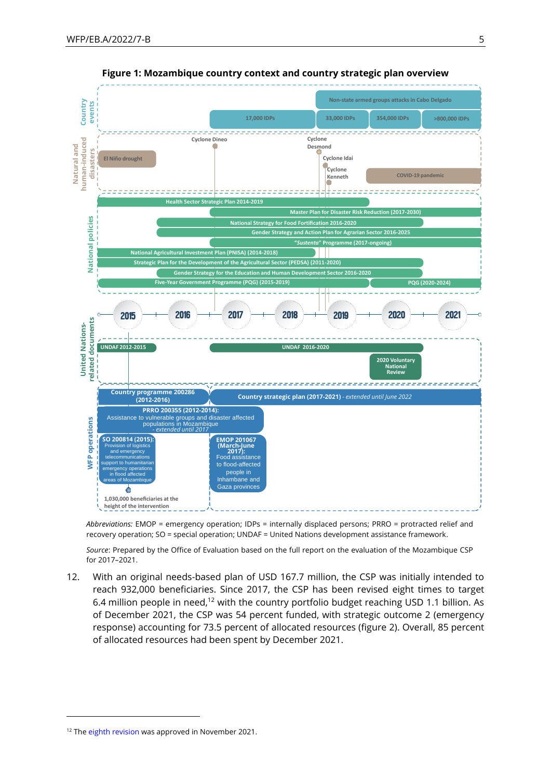



*Abbreviations:* EMOP = emergency operation; IDPs = internally displaced persons; PRRO = protracted relief and recovery operation; SO = special operation; UNDAF = United Nations development assistance framework.

*Source*: Prepared by the Office of Evaluation based on the full report on the evaluation of the Mozambique CSP for 2017–2021.

12. With an original needs-based plan of USD 167.7 million, the CSP was initially intended to reach 932,000 beneficiaries. Since 2017, the CSP has been revised eight times to target 6.4 million people in need,<sup>12</sup> with the country portfolio budget reaching USD 1.1 billion. As of December 2021, the CSP was 54 percent funded, with strategic outcome 2 (emergency response) accounting for 73.5 percent of allocated resources (figure 2). Overall, 85 percent of allocated resources had been spent by December 2021.

<sup>&</sup>lt;sup>12</sup> Th[e eighth revision](https://executiveboard.wfp.org/document_download/WFP-0000135921) was approved in November 2021.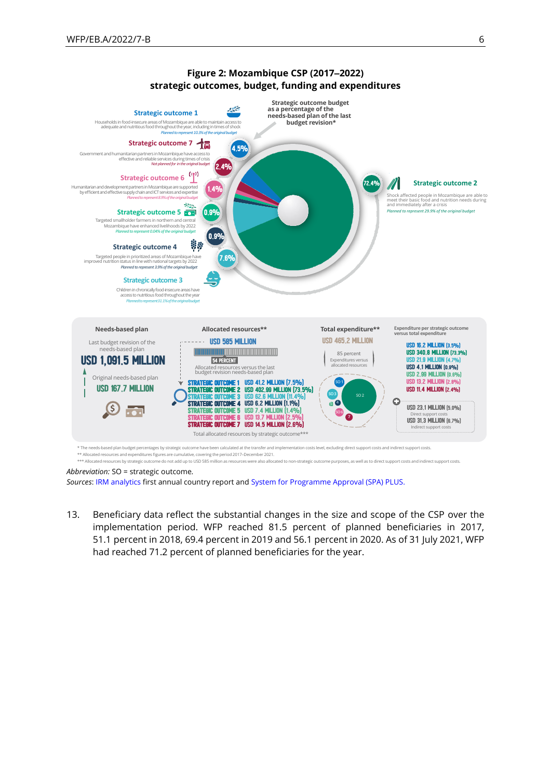

# **Figure 2: Mozambique CSP (2017‒2022)**

*Abbreviation:* SO = strategic outcome*.* 

*Sources*[: IRM analytics](https://irm.analytics.wfp.org/) first annual country report an[d System for Programme Approval \(SPA\) PLUS.](https://spaplus.wfp.org/)

13. Beneficiary data reflect the substantial changes in the size and scope of the CSP over the implementation period. WFP reached 81.5 percent of planned beneficiaries in 2017, 51.1 percent in 2018, 69.4 percent in 2019 and 56.1 percent in 2020. As of 31 July 2021, WFP had reached 71.2 percent of planned beneficiaries for the year.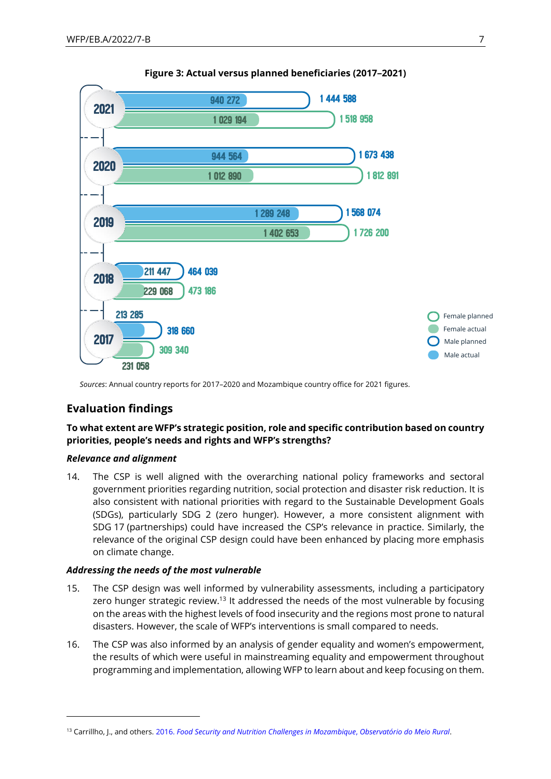

#### **Figure 3: Actual versus planned beneficiaries (2017‒2021)**

*Sources*: Annual country reports for 2017–2020 and Mozambique country office for 2021 figures.

## **Evaluation findings**

#### **To what extent are WFP's strategic position, role and specific contribution based on country priorities, people's needs and rights and WFP's strengths?**

#### *Relevance and alignment*

14. The CSP is well aligned with the overarching national policy frameworks and sectoral government priorities regarding nutrition, social protection and disaster risk reduction. It is also consistent with national priorities with regard to the Sustainable Development Goals (SDGs), particularly SDG 2 (zero hunger). However, a more consistent alignment with SDG 17 (partnerships) could have increased the CSP's relevance in practice. Similarly, the relevance of the original CSP design could have been enhanced by placing more emphasis on climate change.

#### *Addressing the needs of the most vulnerable*

- 15. The CSP design was well informed by vulnerability assessments, including a participatory zero hunger strategic review.<sup>13</sup> It addressed the needs of the most vulnerable by focusing on the areas with the highest levels of food insecurity and the regions most prone to natural disasters. However, the scale of WFP's interventions is small compared to needs.
- 16. The CSP was also informed by an analysis of gender equality and women's empowerment, the results of which were useful in mainstreaming equality and empowerment throughout programming and implementation, allowing WFP to learn about and keep focusing on them.

<sup>13</sup> Carrillho, J., and others. 2016. *[Food Security and Nutrition Challenges in](https://docs.wfp.org/api/documents/WFP-0000005507/download/) Mozambique*, *Observatório do Meio Rural*.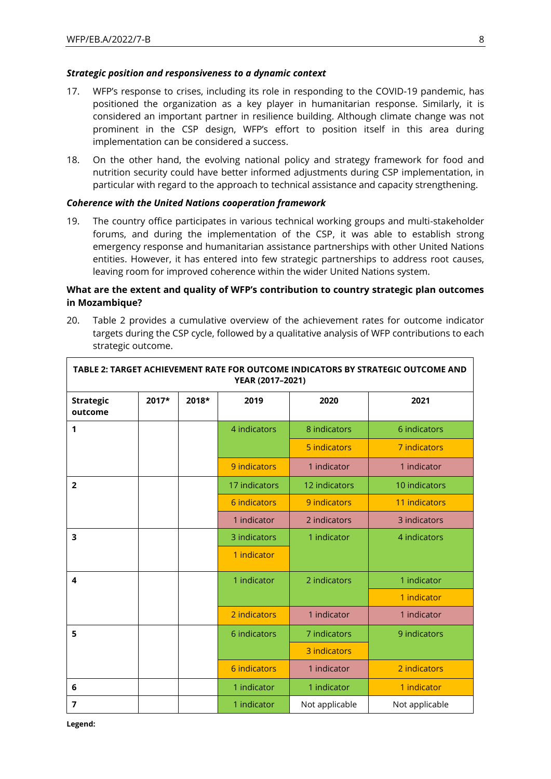#### *Strategic position and responsiveness to a dynamic context*

- 17. WFP's response to crises, including its role in responding to the COVID-19 pandemic, has positioned the organization as a key player in humanitarian response. Similarly, it is considered an important partner in resilience building. Although climate change was not prominent in the CSP design, WFP's effort to position itself in this area during implementation can be considered a success.
- 18. On the other hand, the evolving national policy and strategy framework for food and nutrition security could have better informed adjustments during CSP implementation, in particular with regard to the approach to technical assistance and capacity strengthening.

#### *Coherence with the United Nations cooperation framework*

19. The country office participates in various technical working groups and multi-stakeholder forums, and during the implementation of the CSP, it was able to establish strong emergency response and humanitarian assistance partnerships with other United Nations entities. However, it has entered into few strategic partnerships to address root causes, leaving room for improved coherence within the wider United Nations system.

#### **What are the extent and quality of WFP's contribution to country strategic plan outcomes in Mozambique?**

20. Table 2 provides a cumulative overview of the achievement rates for outcome indicator targets during the CSP cycle, followed by a qualitative analysis of WFP contributions to each strategic outcome.

| TABLE 2: TARGET ACHIEVEMENT RATE FOR OUTCOME INDICATORS BY STRATEGIC OUTCOME AND<br>YEAR (2017-2021) |       |       |               |                |                |  |  |
|------------------------------------------------------------------------------------------------------|-------|-------|---------------|----------------|----------------|--|--|
| <b>Strategic</b><br>outcome                                                                          | 2017* | 2018* | 2019          | 2020           | 2021           |  |  |
| 1                                                                                                    |       |       | 4 indicators  | 8 indicators   | 6 indicators   |  |  |
|                                                                                                      |       |       |               | 5 indicators   | 7 indicators   |  |  |
|                                                                                                      |       |       | 9 indicators  | 1 indicator    | 1 indicator    |  |  |
| $\overline{2}$                                                                                       |       |       | 17 indicators | 12 indicators  | 10 indicators  |  |  |
|                                                                                                      |       |       | 6 indicators  | 9 indicators   | 11 indicators  |  |  |
|                                                                                                      |       |       | 1 indicator   | 2 indicators   | 3 indicators   |  |  |
| 3                                                                                                    |       |       | 3 indicators  | 1 indicator    | 4 indicators   |  |  |
|                                                                                                      |       |       | 1 indicator   |                |                |  |  |
| 4                                                                                                    |       |       | 1 indicator   | 2 indicators   | 1 indicator    |  |  |
|                                                                                                      |       |       |               |                | 1 indicator    |  |  |
|                                                                                                      |       |       | 2 indicators  | 1 indicator    | 1 indicator    |  |  |
| 5                                                                                                    |       |       | 6 indicators  | 7 indicators   | 9 indicators   |  |  |
|                                                                                                      |       |       |               | 3 indicators   |                |  |  |
|                                                                                                      |       |       | 6 indicators  | 1 indicator    | 2 indicators   |  |  |
| 6                                                                                                    |       |       | 1 indicator   | 1 indicator    | 1 indicator    |  |  |
| $\overline{7}$                                                                                       |       |       | 1 indicator   | Not applicable | Not applicable |  |  |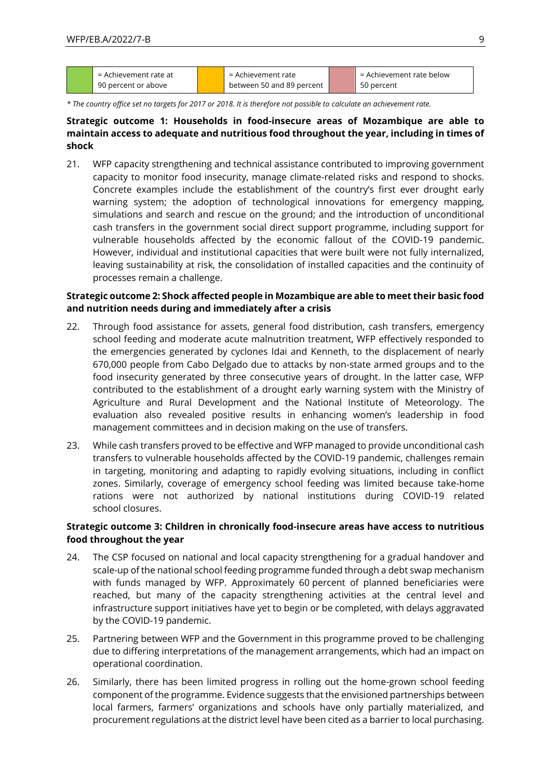| = Achievement rate at | = Achievement rate        | = Achievement rate below |
|-----------------------|---------------------------|--------------------------|
| 90 percent or above   | between 50 and 89 percent | 50 percent               |

*\* The country office set no targets for 2017 or 2018. It is therefore not possible to calculate an achievement rate.*

#### **Strategic outcome 1: Households in food-insecure areas of Mozambique are able to maintain access to adequate and nutritious food throughout the year, including in times of shock**

21. WFP capacity strengthening and technical assistance contributed to improving government capacity to monitor food insecurity, manage climate-related risks and respond to shocks. Concrete examples include the establishment of the country's first ever drought early warning system; the adoption of technological innovations for emergency mapping, simulations and search and rescue on the ground; and the introduction of unconditional cash transfers in the government social direct support programme, including support for vulnerable households affected by the economic fallout of the COVID-19 pandemic. However, individual and institutional capacities that were built were not fully internalized, leaving sustainability at risk, the consolidation of installed capacities and the continuity of processes remain a challenge.

#### **Strategic outcome 2: Shock affected people in Mozambique are able to meet their basic food and nutrition needs during and immediately after a crisis**

- 22. Through food assistance for assets, general food distribution, cash transfers, emergency school feeding and moderate acute malnutrition treatment, WFP effectively responded to the emergencies generated by cyclones Idai and Kenneth, to the displacement of nearly 670,000 people from Cabo Delgado due to attacks by non-state armed groups and to the food insecurity generated by three consecutive years of drought. In the latter case, WFP contributed to the establishment of a drought early warning system with the Ministry of Agriculture and Rural Development and the National Institute of Meteorology. The evaluation also revealed positive results in enhancing women's leadership in food management committees and in decision making on the use of transfers.
- 23. While cash transfers proved to be effective and WFP managed to provide unconditional cash transfers to vulnerable households affected by the COVID-19 pandemic, challenges remain in targeting, monitoring and adapting to rapidly evolving situations, including in conflict zones. Similarly, coverage of emergency school feeding was limited because take-home rations were not authorized by national institutions during COVID-19 related school closures.

#### **Strategic outcome 3: Children in chronically food-insecure areas have access to nutritious food throughout the year**

- 24. The CSP focused on national and local capacity strengthening for a gradual handover and scale-up of the national school feeding programme funded through a debt swap mechanism with funds managed by WFP. Approximately 60 percent of planned beneficiaries were reached, but many of the capacity strengthening activities at the central level and infrastructure support initiatives have yet to begin or be completed, with delays aggravated by the COVID-19 pandemic.
- 25. Partnering between WFP and the Government in this programme proved to be challenging due to differing interpretations of the management arrangements, which had an impact on operational coordination.
- 26. Similarly, there has been limited progress in rolling out the home-grown school feeding component of the programme. Evidence suggests that the envisioned partnerships between local farmers, farmers' organizations and schools have only partially materialized, and procurement regulations at the district level have been cited as a barrier to local purchasing.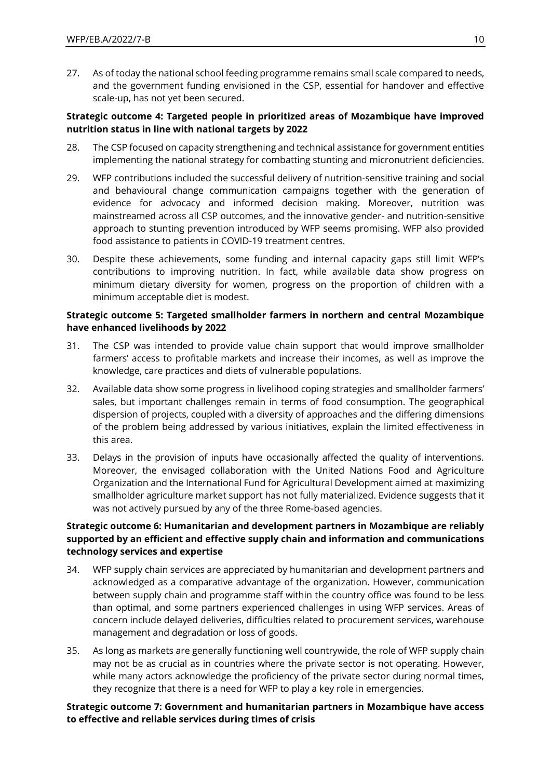27. As of today the national school feeding programme remains small scale compared to needs, and the government funding envisioned in the CSP, essential for handover and effective scale-up, has not yet been secured.

#### **Strategic outcome 4: Targeted people in prioritized areas of Mozambique have improved nutrition status in line with national targets by 2022**

- 28. The CSP focused on capacity strengthening and technical assistance for government entities implementing the national strategy for combatting stunting and micronutrient deficiencies.
- 29. WFP contributions included the successful delivery of nutrition-sensitive training and social and behavioural change communication campaigns together with the generation of evidence for advocacy and informed decision making. Moreover, nutrition was mainstreamed across all CSP outcomes, and the innovative gender- and nutrition-sensitive approach to stunting prevention introduced by WFP seems promising. WFP also provided food assistance to patients in COVID-19 treatment centres.
- 30. Despite these achievements, some funding and internal capacity gaps still limit WFP's contributions to improving nutrition. In fact, while available data show progress on minimum dietary diversity for women, progress on the proportion of children with a minimum acceptable diet is modest.

#### **Strategic outcome 5: Targeted smallholder farmers in northern and central Mozambique have enhanced livelihoods by 2022**

- 31. The CSP was intended to provide value chain support that would improve smallholder farmers' access to profitable markets and increase their incomes, as well as improve the knowledge, care practices and diets of vulnerable populations.
- 32. Available data show some progress in livelihood coping strategies and smallholder farmers' sales, but important challenges remain in terms of food consumption. The geographical dispersion of projects, coupled with a diversity of approaches and the differing dimensions of the problem being addressed by various initiatives, explain the limited effectiveness in this area.
- 33. Delays in the provision of inputs have occasionally affected the quality of interventions. Moreover, the envisaged collaboration with the United Nations Food and Agriculture Organization and the International Fund for Agricultural Development aimed at maximizing smallholder agriculture market support has not fully materialized. Evidence suggests that it was not actively pursued by any of the three Rome-based agencies.

#### **Strategic outcome 6: Humanitarian and development partners in Mozambique are reliably supported by an efficient and effective supply chain and information and communications technology services and expertise**

- 34. WFP supply chain services are appreciated by humanitarian and development partners and acknowledged as a comparative advantage of the organization. However, communication between supply chain and programme staff within the country office was found to be less than optimal, and some partners experienced challenges in using WFP services. Areas of concern include delayed deliveries, difficulties related to procurement services, warehouse management and degradation or loss of goods.
- 35. As long as markets are generally functioning well countrywide, the role of WFP supply chain may not be as crucial as in countries where the private sector is not operating. However, while many actors acknowledge the proficiency of the private sector during normal times, they recognize that there is a need for WFP to play a key role in emergencies.

#### **Strategic outcome 7: Government and humanitarian partners in Mozambique have access to effective and reliable services during times of crisis**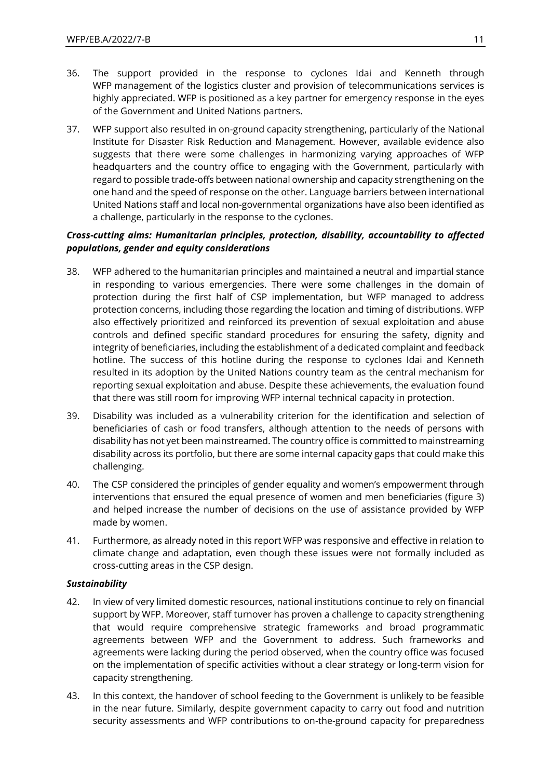- 36. The support provided in the response to cyclones Idai and Kenneth through WFP management of the logistics cluster and provision of telecommunications services is highly appreciated. WFP is positioned as a key partner for emergency response in the eyes of the Government and United Nations partners.
- 37. WFP support also resulted in on-ground capacity strengthening, particularly of the National Institute for Disaster Risk Reduction and Management. However, available evidence also suggests that there were some challenges in harmonizing varying approaches of WFP headquarters and the country office to engaging with the Government, particularly with regard to possible trade-offs between national ownership and capacity strengthening on the one hand and the speed of response on the other. Language barriers between international United Nations staff and local non-governmental organizations have also been identified as a challenge, particularly in the response to the cyclones.

#### *Cross-cutting aims: Humanitarian principles, protection, disability, accountability to affected populations, gender and equity considerations*

- 38. WFP adhered to the humanitarian principles and maintained a neutral and impartial stance in responding to various emergencies. There were some challenges in the domain of protection during the first half of CSP implementation, but WFP managed to address protection concerns, including those regarding the location and timing of distributions. WFP also effectively prioritized and reinforced its prevention of sexual exploitation and abuse controls and defined specific standard procedures for ensuring the safety, dignity and integrity of beneficiaries, including the establishment of a dedicated complaint and feedback hotline. The success of this hotline during the response to cyclones Idai and Kenneth resulted in its adoption by the United Nations country team as the central mechanism for reporting sexual exploitation and abuse. Despite these achievements, the evaluation found that there was still room for improving WFP internal technical capacity in protection.
- 39. Disability was included as a vulnerability criterion for the identification and selection of beneficiaries of cash or food transfers, although attention to the needs of persons with disability has not yet been mainstreamed. The country office is committed to mainstreaming disability across its portfolio, but there are some internal capacity gaps that could make this challenging.
- 40. The CSP considered the principles of gender equality and women's empowerment through interventions that ensured the equal presence of women and men beneficiaries (figure 3) and helped increase the number of decisions on the use of assistance provided by WFP made by women.
- 41. Furthermore, as already noted in this report WFP was responsive and effective in relation to climate change and adaptation, even though these issues were not formally included as cross-cutting areas in the CSP design.

#### *Sustainability*

- 42. In view of very limited domestic resources, national institutions continue to rely on financial support by WFP. Moreover, staff turnover has proven a challenge to capacity strengthening that would require comprehensive strategic frameworks and broad programmatic agreements between WFP and the Government to address. Such frameworks and agreements were lacking during the period observed, when the country office was focused on the implementation of specific activities without a clear strategy or long-term vision for capacity strengthening.
- 43. In this context, the handover of school feeding to the Government is unlikely to be feasible in the near future. Similarly, despite government capacity to carry out food and nutrition security assessments and WFP contributions to on-the-ground capacity for preparedness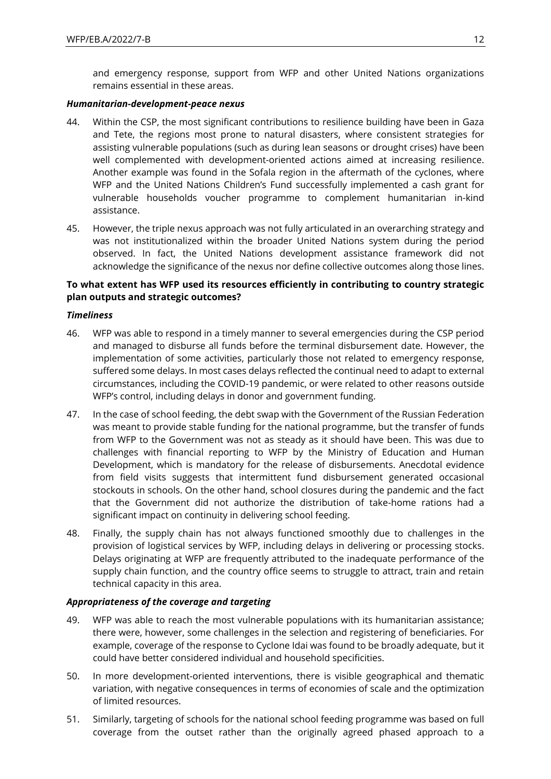and emergency response, support from WFP and other United Nations organizations remains essential in these areas.

#### *Humanitarian-development-peace nexus*

- 44. Within the CSP, the most significant contributions to resilience building have been in Gaza and Tete, the regions most prone to natural disasters, where consistent strategies for assisting vulnerable populations (such as during lean seasons or drought crises) have been well complemented with development-oriented actions aimed at increasing resilience. Another example was found in the Sofala region in the aftermath of the cyclones, where WFP and the United Nations Children's Fund successfully implemented a cash grant for vulnerable households voucher programme to complement humanitarian in-kind assistance.
- 45. However, the triple nexus approach was not fully articulated in an overarching strategy and was not institutionalized within the broader United Nations system during the period observed. In fact, the United Nations development assistance framework did not acknowledge the significance of the nexus nor define collective outcomes along those lines.

#### **To what extent has WFP used its resources efficiently in contributing to country strategic plan outputs and strategic outcomes?**

#### *Timeliness*

- 46. WFP was able to respond in a timely manner to several emergencies during the CSP period and managed to disburse all funds before the terminal disbursement date. However, the implementation of some activities, particularly those not related to emergency response, suffered some delays. In most cases delays reflected the continual need to adapt to external circumstances, including the COVID-19 pandemic, or were related to other reasons outside WFP's control, including delays in donor and government funding.
- 47. In the case of school feeding, the debt swap with the Government of the Russian Federation was meant to provide stable funding for the national programme, but the transfer of funds from WFP to the Government was not as steady as it should have been. This was due to challenges with financial reporting to WFP by the Ministry of Education and Human Development, which is mandatory for the release of disbursements. Anecdotal evidence from field visits suggests that intermittent fund disbursement generated occasional stockouts in schools. On the other hand, school closures during the pandemic and the fact that the Government did not authorize the distribution of take-home rations had a significant impact on continuity in delivering school feeding.
- 48. Finally, the supply chain has not always functioned smoothly due to challenges in the provision of logistical services by WFP, including delays in delivering or processing stocks. Delays originating at WFP are frequently attributed to the inadequate performance of the supply chain function, and the country office seems to struggle to attract, train and retain technical capacity in this area.

#### *Appropriateness of the coverage and targeting*

- 49. WFP was able to reach the most vulnerable populations with its humanitarian assistance; there were, however, some challenges in the selection and registering of beneficiaries. For example, coverage of the response to Cyclone Idai was found to be broadly adequate, but it could have better considered individual and household specificities.
- 50. In more development-oriented interventions, there is visible geographical and thematic variation, with negative consequences in terms of economies of scale and the optimization of limited resources.
- 51. Similarly, targeting of schools for the national school feeding programme was based on full coverage from the outset rather than the originally agreed phased approach to a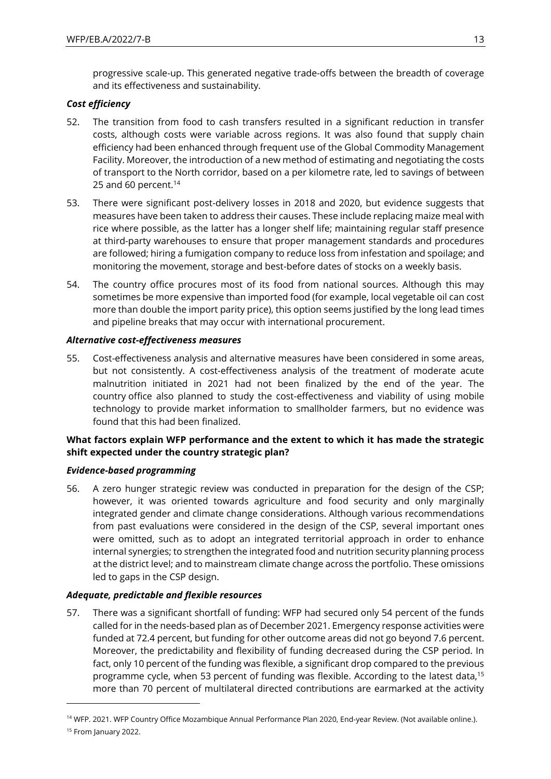progressive scale-up. This generated negative trade-offs between the breadth of coverage and its effectiveness and sustainability.

#### *Cost efficiency*

- 52. The transition from food to cash transfers resulted in a significant reduction in transfer costs, although costs were variable across regions. It was also found that supply chain efficiency had been enhanced through frequent use of the Global Commodity Management Facility. Moreover, the introduction of a new method of estimating and negotiating the costs of transport to the North corridor, based on a per kilometre rate, led to savings of between 25 and 60 percent.<sup>14</sup>
- 53. There were significant post-delivery losses in 2018 and 2020, but evidence suggests that measures have been taken to address their causes. These include replacing maize meal with rice where possible, as the latter has a longer shelf life; maintaining regular staff presence at third-party warehouses to ensure that proper management standards and procedures are followed; hiring a fumigation company to reduce loss from infestation and spoilage; and monitoring the movement, storage and best-before dates of stocks on a weekly basis.
- 54. The country office procures most of its food from national sources. Although this may sometimes be more expensive than imported food (for example, local vegetable oil can cost more than double the import parity price), this option seems justified by the long lead times and pipeline breaks that may occur with international procurement.

#### *Alternative cost-effectiveness measures*

55. Cost-effectiveness analysis and alternative measures have been considered in some areas, but not consistently. A cost-effectiveness analysis of the treatment of moderate acute malnutrition initiated in 2021 had not been finalized by the end of the year. The country office also planned to study the cost-effectiveness and viability of using mobile technology to provide market information to smallholder farmers, but no evidence was found that this had been finalized.

#### **What factors explain WFP performance and the extent to which it has made the strategic shift expected under the country strategic plan?**

#### *Evidence-based programming*

56. A zero hunger strategic review was conducted in preparation for the design of the CSP; however, it was oriented towards agriculture and food security and only marginally integrated gender and climate change considerations. Although various recommendations from past evaluations were considered in the design of the CSP, several important ones were omitted, such as to adopt an integrated territorial approach in order to enhance internal synergies; to strengthen the integrated food and nutrition security planning process at the district level; and to mainstream climate change across the portfolio. These omissions led to gaps in the CSP design.

#### *Adequate, predictable and flexible resources*

57. There was a significant shortfall of funding: WFP had secured only 54 percent of the funds called for in the needs-based plan as of December 2021. Emergency response activities were funded at 72.4 percent, but funding for other outcome areas did not go beyond 7.6 percent. Moreover, the predictability and flexibility of funding decreased during the CSP period. In fact, only 10 percent of the funding was flexible, a significant drop compared to the previous programme cycle, when 53 percent of funding was flexible. According to the latest data,<sup>15</sup> more than 70 percent of multilateral directed contributions are earmarked at the activity

<sup>14</sup> WFP. 2021. WFP Country Office Mozambique Annual Performance Plan 2020, End-year Review. (Not available online.).

<sup>&</sup>lt;sup>15</sup> From January 2022.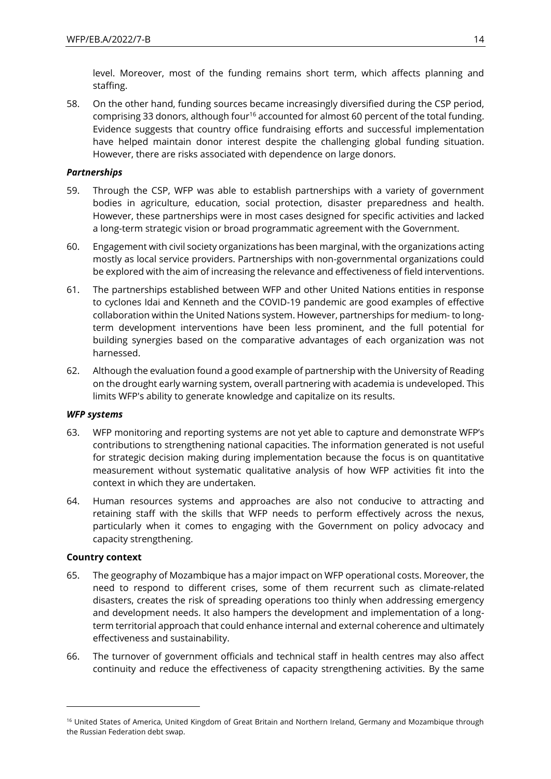level. Moreover, most of the funding remains short term, which affects planning and staffing.

58. On the other hand, funding sources became increasingly diversified during the CSP period, comprising 33 donors, although four<sup>16</sup> accounted for almost 60 percent of the total funding. Evidence suggests that country office fundraising efforts and successful implementation have helped maintain donor interest despite the challenging global funding situation. However, there are risks associated with dependence on large donors.

#### *Partnerships*

- 59. Through the CSP, WFP was able to establish partnerships with a variety of government bodies in agriculture, education, social protection, disaster preparedness and health. However, these partnerships were in most cases designed for specific activities and lacked a long-term strategic vision or broad programmatic agreement with the Government.
- 60. Engagement with civil society organizations has been marginal, with the organizations acting mostly as local service providers. Partnerships with non-governmental organizations could be explored with the aim of increasing the relevance and effectiveness of field interventions.
- 61. The partnerships established between WFP and other United Nations entities in response to cyclones Idai and Kenneth and the COVID-19 pandemic are good examples of effective collaboration within the United Nations system. However, partnerships for medium- to longterm development interventions have been less prominent, and the full potential for building synergies based on the comparative advantages of each organization was not harnessed.
- 62. Although the evaluation found a good example of partnership with the University of Reading on the drought early warning system, overall partnering with academia is undeveloped. This limits WFP's ability to generate knowledge and capitalize on its results.

#### *WFP systems*

- 63. WFP monitoring and reporting systems are not yet able to capture and demonstrate WFP's contributions to strengthening national capacities. The information generated is not useful for strategic decision making during implementation because the focus is on quantitative measurement without systematic qualitative analysis of how WFP activities fit into the context in which they are undertaken.
- 64. Human resources systems and approaches are also not conducive to attracting and retaining staff with the skills that WFP needs to perform effectively across the nexus, particularly when it comes to engaging with the Government on policy advocacy and capacity strengthening.

#### **Country context**

- 65. The geography of Mozambique has a major impact on WFP operational costs. Moreover, the need to respond to different crises, some of them recurrent such as climate-related disasters, creates the risk of spreading operations too thinly when addressing emergency and development needs. It also hampers the development and implementation of a longterm territorial approach that could enhance internal and external coherence and ultimately effectiveness and sustainability.
- 66. The turnover of government officials and technical staff in health centres may also affect continuity and reduce the effectiveness of capacity strengthening activities. By the same

<sup>&</sup>lt;sup>16</sup> United States of America, United Kingdom of Great Britain and Northern Ireland, Germany and Mozambique through the Russian Federation debt swap.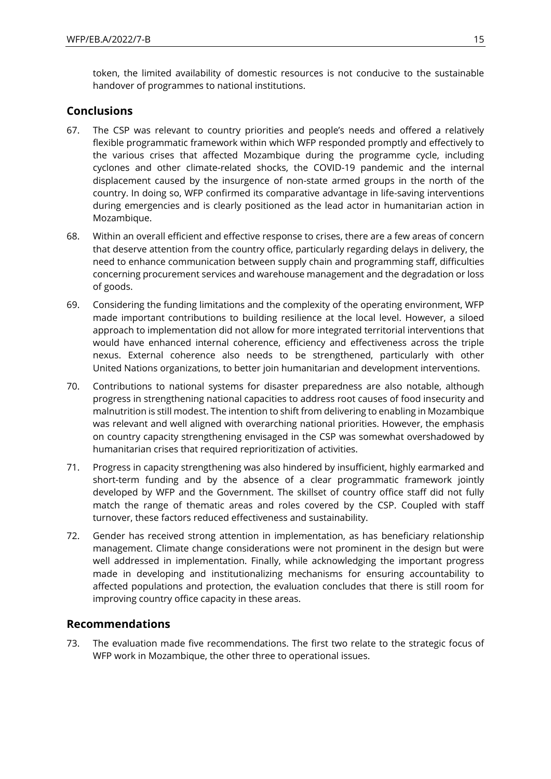token, the limited availability of domestic resources is not conducive to the sustainable handover of programmes to national institutions.

### **Conclusions**

- 67. The CSP was relevant to country priorities and people's needs and offered a relatively flexible programmatic framework within which WFP responded promptly and effectively to the various crises that affected Mozambique during the programme cycle, including cyclones and other climate-related shocks, the COVID-19 pandemic and the internal displacement caused by the insurgence of non-state armed groups in the north of the country. In doing so, WFP confirmed its comparative advantage in life-saving interventions during emergencies and is clearly positioned as the lead actor in humanitarian action in Mozambique.
- 68. Within an overall efficient and effective response to crises, there are a few areas of concern that deserve attention from the country office, particularly regarding delays in delivery, the need to enhance communication between supply chain and programming staff, difficulties concerning procurement services and warehouse management and the degradation or loss of goods.
- 69. Considering the funding limitations and the complexity of the operating environment, WFP made important contributions to building resilience at the local level. However, a siloed approach to implementation did not allow for more integrated territorial interventions that would have enhanced internal coherence, efficiency and effectiveness across the triple nexus. External coherence also needs to be strengthened, particularly with other United Nations organizations, to better join humanitarian and development interventions.
- 70. Contributions to national systems for disaster preparedness are also notable, although progress in strengthening national capacities to address root causes of food insecurity and malnutrition is still modest. The intention to shift from delivering to enabling in Mozambique was relevant and well aligned with overarching national priorities. However, the emphasis on country capacity strengthening envisaged in the CSP was somewhat overshadowed by humanitarian crises that required reprioritization of activities.
- 71. Progress in capacity strengthening was also hindered by insufficient, highly earmarked and short-term funding and by the absence of a clear programmatic framework jointly developed by WFP and the Government. The skillset of country office staff did not fully match the range of thematic areas and roles covered by the CSP. Coupled with staff turnover, these factors reduced effectiveness and sustainability.
- 72. Gender has received strong attention in implementation, as has beneficiary relationship management. Climate change considerations were not prominent in the design but were well addressed in implementation. Finally, while acknowledging the important progress made in developing and institutionalizing mechanisms for ensuring accountability to affected populations and protection, the evaluation concludes that there is still room for improving country office capacity in these areas.

## **Recommendations**

73. The evaluation made five recommendations. The first two relate to the strategic focus of WFP work in Mozambique, the other three to operational issues.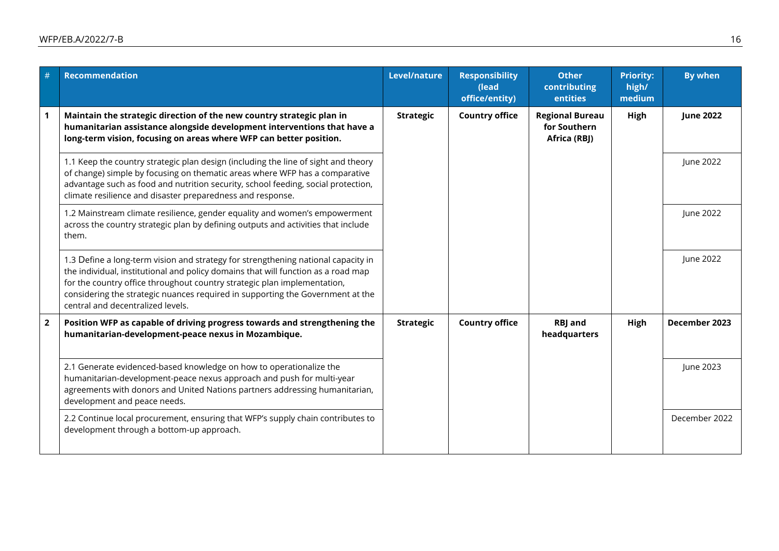| #              | <b>Recommendation</b>                                                                                                                                                                                                                                                                                                                                                     | Level/nature     | <b>Responsibility</b><br>(lead<br>office/entity) | <b>Other</b><br>contributing<br>entities               | <b>Priority:</b><br>high/<br>medium | <b>By when</b>   |
|----------------|---------------------------------------------------------------------------------------------------------------------------------------------------------------------------------------------------------------------------------------------------------------------------------------------------------------------------------------------------------------------------|------------------|--------------------------------------------------|--------------------------------------------------------|-------------------------------------|------------------|
|                | Maintain the strategic direction of the new country strategic plan in<br>humanitarian assistance alongside development interventions that have a<br>long-term vision, focusing on areas where WFP can better position.                                                                                                                                                    | <b>Strategic</b> | <b>Country office</b>                            | <b>Regional Bureau</b><br>for Southern<br>Africa (RBJ) | High                                | <b>June 2022</b> |
|                | 1.1 Keep the country strategic plan design (including the line of sight and theory<br>of change) simple by focusing on thematic areas where WFP has a comparative<br>advantage such as food and nutrition security, school feeding, social protection,<br>climate resilience and disaster preparedness and response.                                                      |                  |                                                  |                                                        |                                     | June 2022        |
|                | 1.2 Mainstream climate resilience, gender equality and women's empowerment<br>across the country strategic plan by defining outputs and activities that include<br>them.                                                                                                                                                                                                  |                  |                                                  |                                                        |                                     | June 2022        |
|                | 1.3 Define a long-term vision and strategy for strengthening national capacity in<br>the individual, institutional and policy domains that will function as a road map<br>for the country office throughout country strategic plan implementation,<br>considering the strategic nuances required in supporting the Government at the<br>central and decentralized levels. |                  |                                                  |                                                        |                                     | June 2022        |
| $\overline{2}$ | Position WFP as capable of driving progress towards and strengthening the<br>humanitarian-development-peace nexus in Mozambique.                                                                                                                                                                                                                                          | <b>Strategic</b> | <b>Country office</b>                            | <b>RBJ</b> and<br>headquarters                         | High                                | December 2023    |
|                | 2.1 Generate evidenced-based knowledge on how to operationalize the<br>humanitarian-development-peace nexus approach and push for multi-year<br>agreements with donors and United Nations partners addressing humanitarian,<br>development and peace needs.                                                                                                               |                  |                                                  |                                                        |                                     | June 2023        |
|                | 2.2 Continue local procurement, ensuring that WFP's supply chain contributes to<br>development through a bottom-up approach.                                                                                                                                                                                                                                              |                  |                                                  |                                                        |                                     | December 2022    |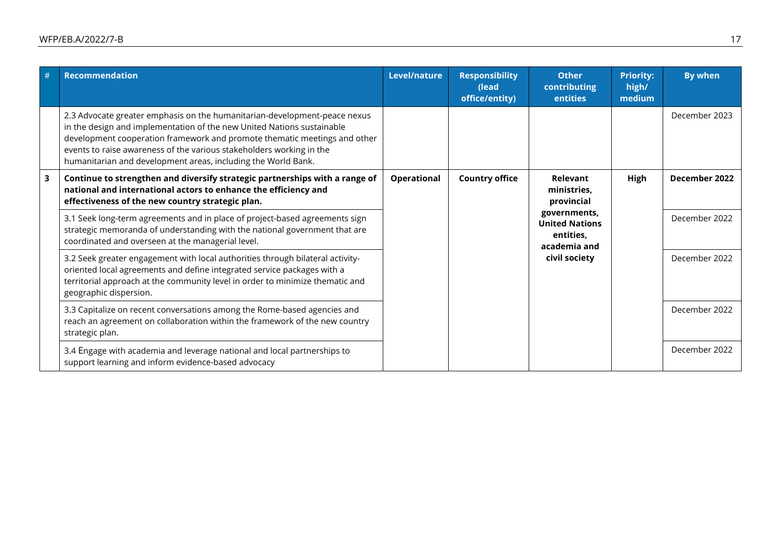| # | <b>Recommendation</b>                                                                                                                                                                                                                                                                                                                                                     | Level/nature       | <b>Responsibility</b><br>(lead<br>office/entity) | <b>Other</b><br>contributing<br>entities                                            | <b>Priority:</b><br>high/<br>medium | <b>By when</b> |  |               |
|---|---------------------------------------------------------------------------------------------------------------------------------------------------------------------------------------------------------------------------------------------------------------------------------------------------------------------------------------------------------------------------|--------------------|--------------------------------------------------|-------------------------------------------------------------------------------------|-------------------------------------|----------------|--|---------------|
|   | 2.3 Advocate greater emphasis on the humanitarian-development-peace nexus<br>in the design and implementation of the new United Nations sustainable<br>development cooperation framework and promote thematic meetings and other<br>events to raise awareness of the various stakeholders working in the<br>humanitarian and development areas, including the World Bank. |                    |                                                  |                                                                                     |                                     | December 2023  |  |               |
| 3 | Continue to strengthen and diversify strategic partnerships with a range of<br>national and international actors to enhance the efficiency and<br>effectiveness of the new country strategic plan.                                                                                                                                                                        | <b>Operational</b> | <b>Country office</b>                            | Relevant<br>ministries,<br>provincial                                               | High                                | December 2022  |  |               |
|   | 3.1 Seek long-term agreements and in place of project-based agreements sign<br>strategic memoranda of understanding with the national government that are<br>coordinated and overseen at the managerial level.                                                                                                                                                            |                    |                                                  | governments,<br><b>United Nations</b><br>entities,<br>academia and<br>civil society |                                     | December 2022  |  |               |
|   | 3.2 Seek greater engagement with local authorities through bilateral activity-<br>oriented local agreements and define integrated service packages with a<br>territorial approach at the community level in order to minimize thematic and<br>geographic dispersion.                                                                                                      |                    |                                                  |                                                                                     |                                     |                |  | December 2022 |
|   | 3.3 Capitalize on recent conversations among the Rome-based agencies and<br>reach an agreement on collaboration within the framework of the new country<br>strategic plan.                                                                                                                                                                                                |                    |                                                  |                                                                                     |                                     | December 2022  |  |               |
|   | 3.4 Engage with academia and leverage national and local partnerships to<br>support learning and inform evidence-based advocacy                                                                                                                                                                                                                                           |                    |                                                  |                                                                                     |                                     | December 2022  |  |               |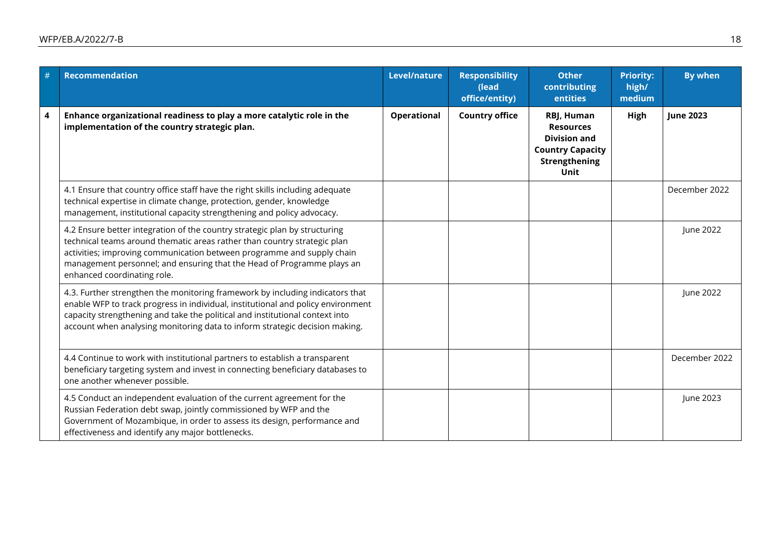| # | <b>Recommendation</b>                                                                                                                                                                                                                                                                                                                     | Level/nature       | <b>Responsibility</b><br>$\overline{a}$ (lead)<br>office/entity) | <b>Other</b><br>contributing<br>entities                                                                         | <b>Priority:</b><br>high/<br>medium | <b>By when</b>   |
|---|-------------------------------------------------------------------------------------------------------------------------------------------------------------------------------------------------------------------------------------------------------------------------------------------------------------------------------------------|--------------------|------------------------------------------------------------------|------------------------------------------------------------------------------------------------------------------|-------------------------------------|------------------|
| 4 | Enhance organizational readiness to play a more catalytic role in the<br>implementation of the country strategic plan.                                                                                                                                                                                                                    | <b>Operational</b> | <b>Country office</b>                                            | RBJ, Human<br><b>Resources</b><br><b>Division and</b><br><b>Country Capacity</b><br>Strengthening<br><b>Unit</b> | High                                | <b>June 2023</b> |
|   | 4.1 Ensure that country office staff have the right skills including adequate<br>technical expertise in climate change, protection, gender, knowledge<br>management, institutional capacity strengthening and policy advocacy.                                                                                                            |                    |                                                                  |                                                                                                                  |                                     | December 2022    |
|   | 4.2 Ensure better integration of the country strategic plan by structuring<br>technical teams around thematic areas rather than country strategic plan<br>activities; improving communication between programme and supply chain<br>management personnel; and ensuring that the Head of Programme plays an<br>enhanced coordinating role. |                    |                                                                  |                                                                                                                  |                                     | June 2022        |
|   | 4.3. Further strengthen the monitoring framework by including indicators that<br>enable WFP to track progress in individual, institutional and policy environment<br>capacity strengthening and take the political and institutional context into<br>account when analysing monitoring data to inform strategic decision making.          |                    |                                                                  |                                                                                                                  |                                     | June 2022        |
|   | 4.4 Continue to work with institutional partners to establish a transparent<br>beneficiary targeting system and invest in connecting beneficiary databases to<br>one another whenever possible.                                                                                                                                           |                    |                                                                  |                                                                                                                  |                                     | December 2022    |
|   | 4.5 Conduct an independent evaluation of the current agreement for the<br>Russian Federation debt swap, jointly commissioned by WFP and the<br>Government of Mozambique, in order to assess its design, performance and<br>effectiveness and identify any major bottlenecks.                                                              |                    |                                                                  |                                                                                                                  |                                     | June 2023        |